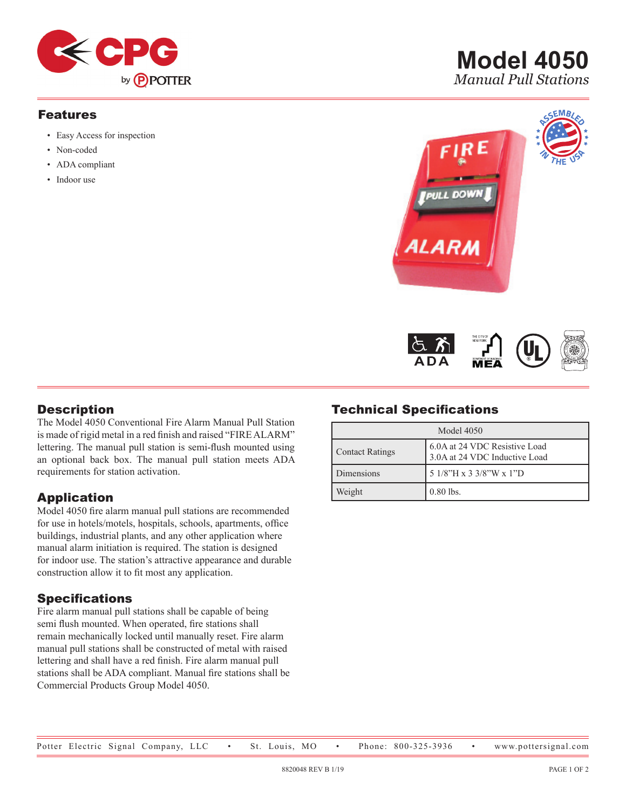

#### Features

- • Easy Access for inspection
- Non-coded
- ADA compliant
- Indoor use







#### **Description**

The Model 4050 Conventional Fire Alarm Manual Pull Station is made of rigid metal in a red finish and raised "FIREALARM" lettering. The manual pull station is semi-flush mounted using an optional back box. The manual pull station meets ADA requirements for station activation.

## Application

Model 4050 fire alarm manual pull stations are recommended for use in hotels/motels, hospitals, schools, apartments, office buildings, industrial plants, and any other application where manual alarm initiation is required. The station is designed for indoor use. The station's attractive appearance and durable construction allow it to fit most any application.

#### Specifications

Fire alarm manual pull stations shall be capable of being semi flush mounted. When operated, fire stations shall remain mechanically locked until manually reset. Fire alarm manual pull stations shall be constructed of metal with raised lettering and shall have a red finish. Fire alarm manual pull stations shall be ADA compliant. Manual fire stations shall be Commercial Products Group Model 4050.

## Technical Specifications

| Model 4050             |                                                                |  |
|------------------------|----------------------------------------------------------------|--|
| <b>Contact Ratings</b> | 6.0A at 24 VDC Resistive Load<br>3.0A at 24 VDC Inductive Load |  |
| Dimensions             | 5 1/8"H x 3 3/8"W x 1"D                                        |  |
| Weight                 | $0.80$ lbs.                                                    |  |

#### Potter Electric Signal Company, LLC • St. Louis, MO • Phone: 800-325-3936 • www.pottersignal.com